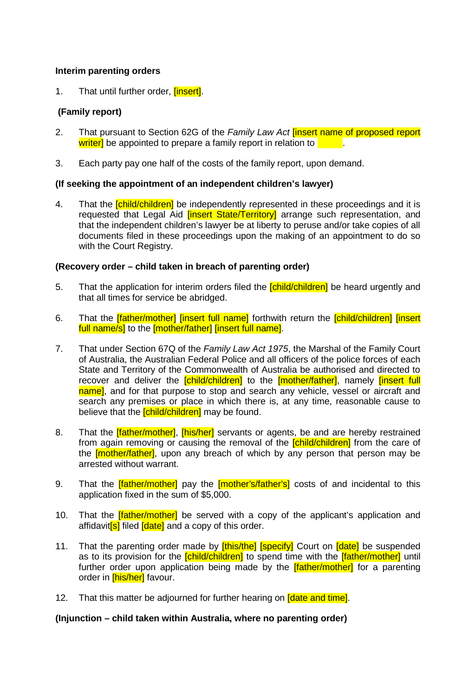## **Interim parenting orders**

1. That until further order, linsertl.

# **(Family report)**

- 2. That pursuant to Section 62G of the *Family Law Act* [insert name of proposed report writer] be appointed to prepare a family report in relation to .
- 3. Each party pay one half of the costs of the family report, upon demand.

### **(If seeking the appointment of an independent children's lawyer)**

4. That the *[child/children]* be independently represented in these proceedings and it is requested that Legal Aid *[insert State/Territory]* arrange such representation, and that the independent children's lawyer be at liberty to peruse and/or take copies of all documents filed in these proceedings upon the making of an appointment to do so with the Court Registry.

### **(Recovery order – child taken in breach of parenting order)**

- 5. That the application for interim orders filed the **[child/children]** be heard urgently and that all times for service be abridged.
- 6. That the **[father/mother] [insert full name]** forthwith return the **[child/children] [insert**] full name/s] to the [mother/father] [insert full name].
- 7. That under Section 67Q of the *Family Law Act 1975*, the Marshal of the Family Court of Australia, the Australian Federal Police and all officers of the police forces of each State and Territory of the Commonwealth of Australia be authorised and directed to recover and deliver the *[child/children]* to the *[mother/father]*, namely *[insert full* name], and for that purpose to stop and search any vehicle, vessel or aircraft and search any premises or place in which there is, at any time, reasonable cause to believe that the *[child/children]* may be found.
- 8. That the **[father/mother], [his/her]** servants or agents, be and are hereby restrained from again removing or causing the removal of the **[child/children]** from the care of the **[mother/father]**, upon any breach of which by any person that person may be arrested without warrant.
- 9. That the *[father/mother]* pay the *[mother's/father's]* costs of and incidental to this application fixed in the sum of \$5,000.
- 10. That the **[father/mother]** be served with a copy of the applicant's application and affidavit**[s]** filed **[date]** and a copy of this order.
- 11. That the parenting order made by *[this/the]* [specify] Court on *[date]* be suspended as to its provision for the *[child/children]* to spend time with the *[father/mother]* until further order upon application being made by the **[father/mother]** for a parenting order in **[his/her]** favour.
- 12. That this matter be adjourned for further hearing on **Idate and time**.

#### **(Injunction – child taken within Australia, where no parenting order)**